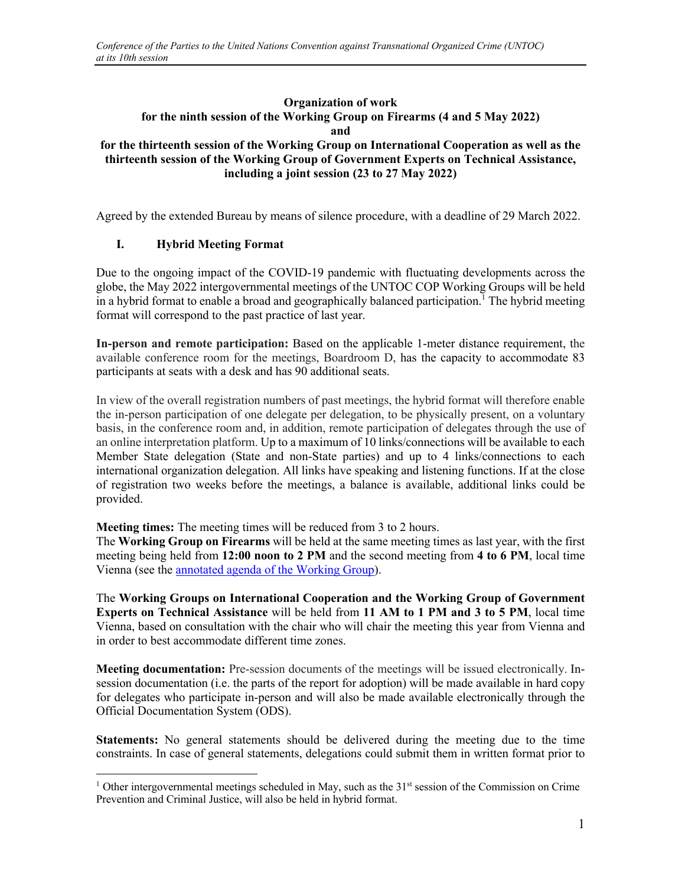## **Organization of work for the ninth session of the Working Group on Firearms (4 and 5 May 2022) and**

## **for the thirteenth session of the Working Group on International Cooperation as well as the thirteenth session of the Working Group of Government Experts on Technical Assistance, including a joint session (23 to 27 May 2022)**

Agreed by the extended Bureau by means of silence procedure, with a deadline of 29 March 2022.

## **I. Hybrid Meeting Format**

Due to the ongoing impact of the COVID-19 pandemic with fluctuating developments across the globe, the May 2022 intergovernmental meetings of the UNTOC COP Working Groups will be held in a hybrid format to enable a broad and geographically balanced participation.<sup>1</sup> The hybrid meeting format will correspond to the past practice of last year.

**In-person and remote participation:** Based on the applicable 1-meter distance requirement, the available conference room for the meetings, Boardroom D, has the capacity to accommodate 83 participants at seats with a desk and has 90 additional seats.

In view of the overall registration numbers of past meetings, the hybrid format will therefore enable the in-person participation of one delegate per delegation, to be physically present, on a voluntary basis, in the conference room and, in addition, remote participation of delegates through the use of an online interpretation platform. Up to a maximum of 10 links/connections will be available to each Member State delegation (State and non-State parties) and up to 4 links/connections to each international organization delegation. All links have speaking and listening functions. If at the close of registration two weeks before the meetings, a balance is available, additional links could be provided.

**Meeting times:** The meeting times will be reduced from 3 to 2 hours.

The **Working Group on Firearms** will be held at the same meeting times as last year, with the first meeting being held from **12:00 noon to 2 PM** and the second meeting from **4 to 6 PM**, local time Vienna (see the annotated agenda of the Working Group).

The **Working Groups on International Cooperation and the Working Group of Government Experts on Technical Assistance** will be held from **11 AM to 1 PM and 3 to 5 PM**, local time Vienna, based on consultation with the chair who will chair the meeting this year from Vienna and in order to best accommodate different time zones.

**Meeting documentation:** Pre-session documents of the meetings will be issued electronically. Insession documentation (i.e. the parts of the report for adoption) will be made available in hard copy for delegates who participate in-person and will also be made available electronically through the Official Documentation System (ODS).

**Statements:** No general statements should be delivered during the meeting due to the time constraints. In case of general statements, delegations could submit them in written format prior to

<sup>&</sup>lt;sup>1</sup> Other intergovernmental meetings scheduled in May, such as the 31<sup>st</sup> session of the Commission on Crime Prevention and Criminal Justice, will also be held in hybrid format.